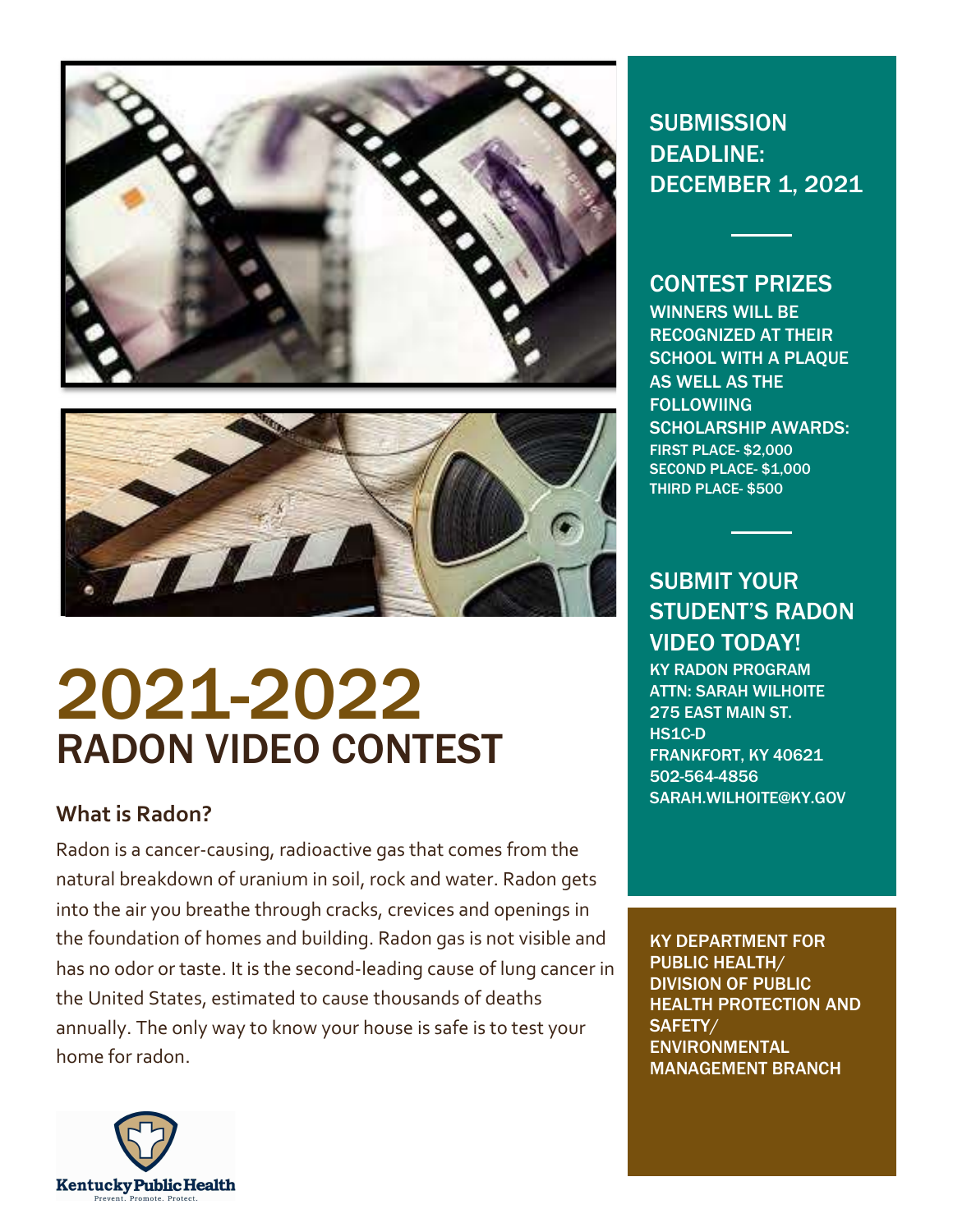



# 2021-2022 RADON VIDEO CONTEST

## What is Radon?

Radon is a cancer-causing, radioactive gas that comes from the natural breakdown of uranium in soil, rock and water. Radon gets into the air you breathe through cracks, crevices and openings in the foundation of homes and building. Radon gas is not visible and has no odor or taste. It is the second-leading cause of lung cancer in the United States, estimated to cause thousands of deaths annually. The only way to know your house is safe is to test your home for radon.



**SUBMISSION** DEADLINE: DECEMBER 1, 2021

### CONTEST PRIZES

WINNERS WILL BE RECOGNIZED AT THEIR SCHOOL WITH A PLAQUE AS WELL AS THE **FOLLOWIING** SCHOLARSHIP AWARDS: FIRST PLACE- \$2,000 SECOND PLACE-\$1,000 THIRD PLACE- \$500

SUBMIT YOUR STUDENT'S RADON VIDEO TODAY! KY RADON PROGRAM ATTN: SARAH WILHOITE 275 EAST MAIN ST. HS1C-D

FRANKFORT, KY 40621 502-564-4856 SARAH.WILHOITE@KY.GOV

KY DEPARTMENT FOR PUBLIC HEALTH/ DIVISION OF PUBLIC HEALTH PROTECTION AND SAFETY/ **ENVIRONMENTAL** MANAGEMENT BRANCH